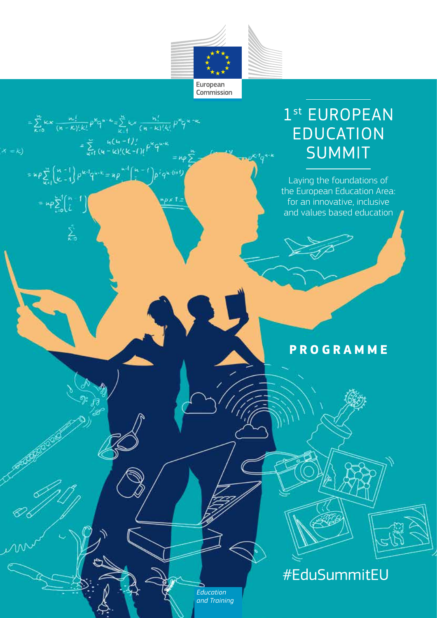

 $= \sum_{k=0}^{n} kx \frac{n!}{(n-k)!(k!)} p^{k}q^{k-k} = \sum_{k=1}^{n} kx \frac{n!}{(n-k)!(k!)} p^{k}q^{k-k}$ 

 $px12$ 

 $=\sum_{u=1}^{\infty} \frac{h(u-1)!}{(u-k)!(k-1)!} \beta^{k} q^{w-k}$ 

=  $np \sum_{k=1}^{m} {n-1 \choose k-1} p^{k-1} q^{n-k} = np \prod_{i=1}^{n-1} {n-1 \choose i} p^i q^{k-i+1}$ 

 $= \exp \sum_{\zeta=0}^{n-1} \binom{n-1}{\zeta}$ 

 $\sum_{k=0}^n$ 

 $x = k$ 

*Education and Training*

## 1st EUROPEAN **EDUCATION SUMMIT**

Laying the foundations of the European Education Area: for an innovative, inclusive and values based education

## **PROGRAMME**

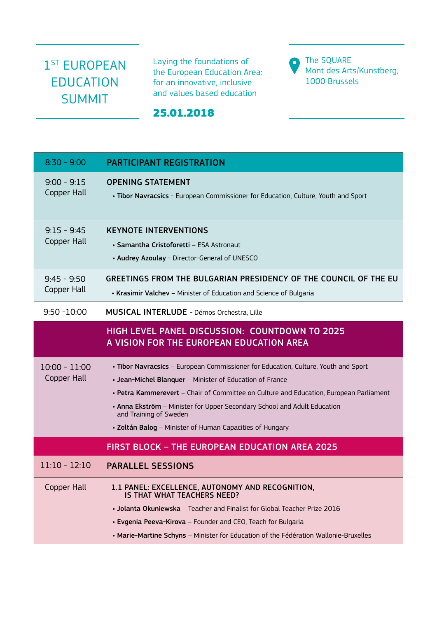## 1<sup>ST</sup> EUROPEAN EDUCATION SUMMIT

Laying the foundations of the European Education Area: for an innovative, inclusive and values based education

**O** The SQUARE Mont des Arts/Kunstberg, 1000 Brussels

## 25.01.2018

| $8:30 - 9:00$                  | <b>PARTICIPANT REGISTRATION</b>                                                                                                                                                                                                                                                                                                                                                                            |
|--------------------------------|------------------------------------------------------------------------------------------------------------------------------------------------------------------------------------------------------------------------------------------------------------------------------------------------------------------------------------------------------------------------------------------------------------|
| $9:00 - 9:15$<br>Copper Hall   | <b>OPENING STATEMENT</b><br>. Tibor Navracsics - European Commissioner for Education, Culture, Youth and Sport                                                                                                                                                                                                                                                                                             |
| $9:15 - 9:45$<br>Copper Hall   | <b>KEYNOTE INTERVENTIONS</b><br>• Samantha Cristoforetti - ESA Astronaut<br>• Audrey Azoulay - Director-General of UNESCO                                                                                                                                                                                                                                                                                  |
| $9:45 - 9:50$<br>Copper Hall   | GREETINGS FROM THE BULGARIAN PRESIDENCY OF THE COUNCIL OF THE EU<br>• Krasimir Valchev - Minister of Education and Science of Bulgaria                                                                                                                                                                                                                                                                     |
| $9:50 - 10:00$                 | <b>MUSICAL INTERLUDE - Démos Orchestra, Lille</b>                                                                                                                                                                                                                                                                                                                                                          |
|                                | <b>HIGH LEVEL PANEL DISCUSSION: COUNTDOWN TO 2025</b><br>A VISION FOR THE EUROPEAN EDUCATION AREA                                                                                                                                                                                                                                                                                                          |
| $10:00 - 11:00$<br>Copper Hall | . Tibor Navracsics - European Commissioner for Education, Culture, Youth and Sport<br>• Jean-Michel Blanquer - Minister of Education of France<br>• Petra Kammerevert - Chair of Committee on Culture and Education, European Parliament<br>• Anna Ekström - Minister for Upper Secondary School and Adult Education<br>and Training of Sweden<br>· Zoltán Balog - Minister of Human Capacities of Hungary |
|                                | <b>FIRST BLOCK - THE EUROPEAN EDUCATION AREA 2025</b>                                                                                                                                                                                                                                                                                                                                                      |
| $11:10 - 12:10$                | <b>PARALLEL SESSIONS</b>                                                                                                                                                                                                                                                                                                                                                                                   |
| Copper Hall                    | 1.1 PANEL: EXCELLENCE, AUTONOMY AND RECOGNITION,<br><b>IS THAT WHAT TEACHERS NEED?</b><br>• Jolanta Okuniewska - Teacher and Finalist for Global Teacher Prize 2016<br>• Evgenia Peeva-Kirova - Founder and CEO, Teach for Bulgaria<br>• Marie-Martine Schyns - Minister for Education of the Fédération Wallonie-Bruxelles                                                                                |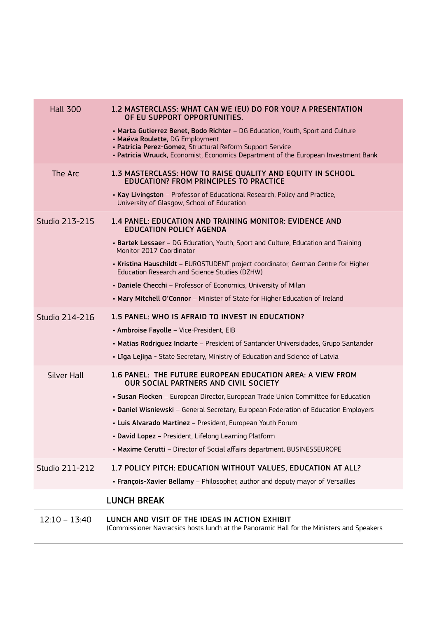| <b>Hall 300</b>       | 1.2 MASTERCLASS: WHAT CAN WE (EU) DO FOR YOU? A PRESENTATION<br>OF EU SUPPORT OPPORTUNITIES.                                                                                                                                                                         |
|-----------------------|----------------------------------------------------------------------------------------------------------------------------------------------------------------------------------------------------------------------------------------------------------------------|
|                       | • Marta Gutierrez Benet, Bodo Richter - DG Education, Youth, Sport and Culture<br>· Maëva Roulette, DG Employment<br>• Patricia Perez-Gomez, Structural Reform Support Service<br>. Patricia Wruuck, Economist, Economics Department of the European Investment Bank |
| The Arc               | 1.3 MASTERCLASS: HOW TO RAISE QUALITY AND EQUITY IN SCHOOL<br><b>EDUCATION? FROM PRINCIPLES TO PRACTICE</b><br>• Kay Livingston - Professor of Educational Research, Policy and Practice,                                                                            |
|                       | University of Glasgow, School of Education                                                                                                                                                                                                                           |
| <b>Studio 213-215</b> | 1.4 PANEL: EDUCATION AND TRAINING MONITOR: EVIDENCE AND<br><b>EDUCATION POLICY AGENDA</b>                                                                                                                                                                            |
|                       | • Bartek Lessaer - DG Education, Youth, Sport and Culture, Education and Training<br>Monitor 2017 Coordinator                                                                                                                                                        |
|                       | . Kristina Hauschildt - EUROSTUDENT project coordinator, German Centre for Higher<br>Education Research and Science Studies (DZHW)                                                                                                                                   |
|                       | • Daniele Checchi - Professor of Economics, University of Milan                                                                                                                                                                                                      |
|                       | • Mary Mitchell O'Connor - Minister of State for Higher Education of Ireland                                                                                                                                                                                         |
| Studio 214-216        | 1.5 PANEL: WHO IS AFRAID TO INVEST IN EDUCATION?                                                                                                                                                                                                                     |
|                       | • Ambroise Fayolle - Vice-President, EIB                                                                                                                                                                                                                             |
|                       | • Matias Rodriguez Inciarte - President of Santander Universidades, Grupo Santander                                                                                                                                                                                  |
|                       | • Līga Lejiņa - State Secretary, Ministry of Education and Science of Latvia                                                                                                                                                                                         |
| <b>Silver Hall</b>    | 1.6 PANEL: THE FUTURE EUROPEAN EDUCATION AREA: A VIEW FROM<br><b>OUR SOCIAL PARTNERS AND CIVIL SOCIETY</b>                                                                                                                                                           |
|                       | • Susan Flocken - European Director, European Trade Union Committee for Education                                                                                                                                                                                    |
|                       | • Daniel Wisniewski - General Secretary, European Federation of Education Employers                                                                                                                                                                                  |
|                       | • Luis Alvarado Martinez - President, European Youth Forum                                                                                                                                                                                                           |
|                       | • David Lopez - President, Lifelong Learning Platform                                                                                                                                                                                                                |
|                       | • Maxime Cerutti - Director of Social affairs department, BUSINESSEUROPE                                                                                                                                                                                             |
| <b>Studio 211-212</b> | 1.7 POLICY PITCH: EDUCATION WITHOUT VALUES, EDUCATION AT ALL?                                                                                                                                                                                                        |
|                       | • François-Xavier Bellamy - Philosopher, author and deputy mayor of Versailles                                                                                                                                                                                       |
|                       | <b>LUNCH BREAK</b>                                                                                                                                                                                                                                                   |
| $12:10 - 13:40$       | LUNCH AND VISIT OF THE IDEAS IN ACTION EXHIBIT<br>(Commissioner Navracsics hosts lunch at the Panoramic Hall for the Ministers and Speakers                                                                                                                          |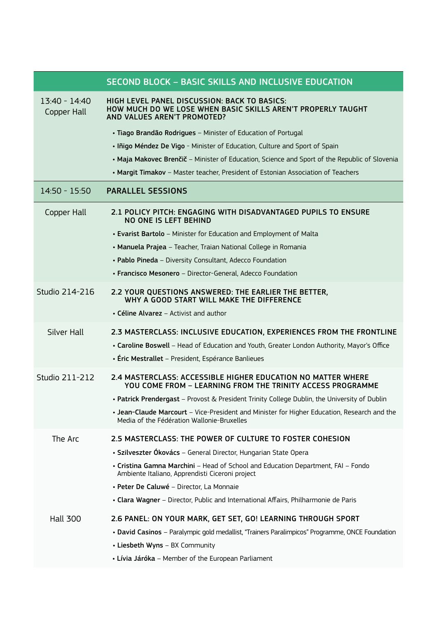|                                | <b>SECOND BLOCK - BASIC SKILLS AND INCLUSIVE EDUCATION</b>                                                                                  |
|--------------------------------|---------------------------------------------------------------------------------------------------------------------------------------------|
| $13:40 - 14:40$<br>Copper Hall | HIGH LEVEL PANEL DISCUSSION: BACK TO BASICS:<br>HOW MUCH DO WE LOSE WHEN BASIC SKILLS AREN'T PROPERLY TAUGHT<br>AND VALUES AREN'T PROMOTED? |
|                                | · Tiago Brandão Rodrigues - Minister of Education of Portugal                                                                               |
|                                | • Iñigo Méndez De Vigo - Minister of Education, Culture and Sport of Spain                                                                  |
|                                | • Maja Makovec Brenčič - Minister of Education, Science and Sport of the Republic of Slovenia                                               |
|                                | • Margit Timakov - Master teacher, President of Estonian Association of Teachers                                                            |
| 14:50 - 15:50                  | <b>PARALLEL SESSIONS</b>                                                                                                                    |
| Copper Hall                    | 2.1 POLICY PITCH: ENGAGING WITH DISADVANTAGED PUPILS TO ENSURE<br><b>NO ONE IS LEFT BEHIND</b>                                              |
|                                | • Evarist Bartolo - Minister for Education and Employment of Malta                                                                          |
|                                | • Manuela Prajea - Teacher, Traian National College in Romania                                                                              |
|                                | • Pablo Pineda - Diversity Consultant, Adecco Foundation                                                                                    |
|                                | • Francisco Mesonero - Director-General, Adecco Foundation                                                                                  |
| Studio 214-216                 | 2.2 YOUR QUESTIONS ANSWERED: THE EARLIER THE BETTER,<br>WHY A GOOD START WILL MAKE THE DIFFERENCE                                           |
|                                | • Céline Alvarez – Activist and author                                                                                                      |
| Silver Hall                    | 2.3 MASTERCLASS: INCLUSIVE EDUCATION, EXPERIENCES FROM THE FRONTLINE                                                                        |
|                                | • Caroline Boswell - Head of Education and Youth, Greater London Authority, Mayor's Office                                                  |
|                                | • Éric Mestrallet – President, Espérance Banlieues                                                                                          |
| Studio 211-212                 | 2.4 MASTERCLASS: ACCESSIBLE HIGHER EDUCATION NO MATTER WHERE<br>YOU COME FROM - LEARNING FROM THE TRINITY ACCESS PROGRAMME                  |
|                                | . Patrick Prendergast - Provost & President Trinity College Dublin, the University of Dublin                                                |
|                                | . Jean-Claude Marcourt - Vice-President and Minister for Higher Education, Research and the<br>Media of the Fédération Wallonie-Bruxelles   |
| The Arc                        | 2.5 MASTERCLASS: THE POWER OF CULTURE TO FOSTER COHESION                                                                                    |
|                                | • Szilveszter Ókovács – General Director, Hungarian State Opera                                                                             |
|                                | • Cristina Gamna Marchini - Head of School and Education Department, FAI - Fondo<br>Ambiente Italiano, Apprendisti Ciceroni project         |
|                                | · Peter De Caluwé - Director, La Monnaie                                                                                                    |
|                                | • Clara Wagner - Director, Public and International Affairs, Philharmonie de Paris                                                          |
| <b>Hall 300</b>                | 2.6 PANEL: ON YOUR MARK, GET SET, GO! LEARNING THROUGH SPORT                                                                                |
|                                | • David Casinos - Paralympic gold medallist, "Trainers Paralimpicos" Programme, ONCE Foundation                                             |
|                                | • Liesbeth Wyns - BX Community                                                                                                              |
|                                | • Lívia Járóka - Member of the European Parliament                                                                                          |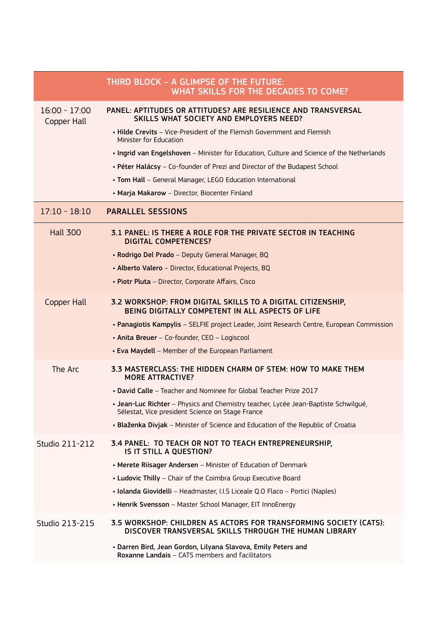|                                | THIRD BLOCK - A GLIMPSE OF THE FUTURE:<br><b>WHAT SKILLS FOR THE DECADES TO COME?</b>                                                  |
|--------------------------------|----------------------------------------------------------------------------------------------------------------------------------------|
| $16:00 - 17:00$<br>Copper Hall | PANEL: APTITUDES OR ATTITUDES? ARE RESILIENCE AND TRANSVERSAL<br>SKILLS WHAT SOCIETY AND EMPLOYERS NEED?                               |
|                                | • Hilde Crevits - Vice-President of the Flemish Government and Flemish<br>Minister for Education                                       |
|                                | . Ingrid van Engelshoven - Minister for Education, Culture and Science of the Netherlands                                              |
|                                | • Péter Halácsy - Co-founder of Prezi and Director of the Budapest School                                                              |
|                                | • Tom Hall - General Manager, LEGO Education International                                                                             |
|                                | • Marja Makarow - Director, Biocenter Finland                                                                                          |
| $17:10 - 18:10$                | <b>PARALLEL SESSIONS</b>                                                                                                               |
| <b>Hall 300</b>                | 3.1 PANEL: IS THERE A ROLE FOR THE PRIVATE SECTOR IN TEACHING<br><b>DIGITAL COMPETENCES?</b>                                           |
|                                | · Rodrigo Del Prado - Deputy General Manager, BQ                                                                                       |
|                                | • Alberto Valero - Director, Educational Projects, BQ                                                                                  |
|                                | • Piotr Pluta - Director, Corporate Affairs, Cisco                                                                                     |
| Copper Hall                    | 3.2 WORKSHOP: FROM DIGITAL SKILLS TO A DIGITAL CITIZENSHIP,<br>BEING DIGITALLY COMPETENT IN ALL ASPECTS OF LIFE                        |
|                                | • Panagiotis Kampylis - SELFIE project Leader, Joint Research Centre, European Commission                                              |
|                                | • Anita Breuer - Co-founder, CEO - Logiscool                                                                                           |
|                                | • Eva Maydell - Member of the European Parliament                                                                                      |
| The Arc                        | 3.3 MASTERCLASS: THE HIDDEN CHARM OF STEM: HOW TO MAKE THEM<br><b>MORE ATTRACTIVE?</b>                                                 |
|                                | • David Calle - Teacher and Nominee for Global Teacher Prize 2017                                                                      |
|                                | • Jean-Luc Richter - Physics and Chemistry teacher, Lycée Jean-Baptiste Schwilgué,<br>Sélestat, Vice president Science on Stage France |
|                                | • Blaženka Divjak - Minister of Science and Education of the Republic of Croatia                                                       |
| Studio 211-212                 | 3.4 PANEL: TO TEACH OR NOT TO TEACH ENTREPRENEURSHIP,<br>IS IT STILL A QUESTION?                                                       |
|                                | • Merete Riisager Andersen - Minister of Education of Denmark                                                                          |
|                                | • Ludovic Thilly - Chair of the Coimbra Group Executive Board                                                                          |
|                                | · Iolanda Giovidelli - Headmaster, I.I.S Liceale Q.O Flaco - Portici (Naples)                                                          |
|                                | • Henrik Svensson - Master School Manager, EIT InnoEnergy                                                                              |
| Studio 213-215                 | 3.5 WORKSHOP: CHILDREN AS ACTORS FOR TRANSFORMING SOCIETY (CATS):<br>DISCOVER TRANSVERSAL SKILLS THROUGH THE HUMAN LIBRARY             |
|                                | · Darren Bird, Jean Gordon, Lilyana Slavova, Emily Peters and<br>Roxanne Landais - CATS members and facilitators                       |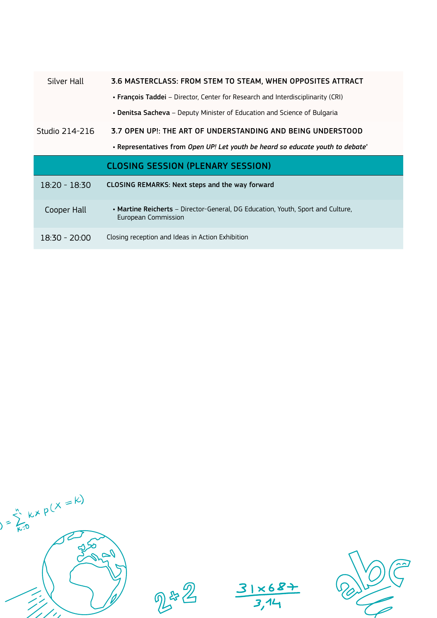| Silver Hall     | 3.6 MASTERCLASS: FROM STEM TO STEAM, WHEN OPPOSITES ATTRACT                                            |  |
|-----------------|--------------------------------------------------------------------------------------------------------|--|
|                 | • François Taddei – Director, Center for Research and Interdisciplinarity (CRI)                        |  |
|                 | • Denitsa Sacheva – Deputy Minister of Education and Science of Bulgaria                               |  |
| Studio 214-216  | 3.7 OPEN UP!: THE ART OF UNDERSTANDING AND BEING UNDERSTOOD                                            |  |
|                 | . Representatives from Open UP! Let youth be heard so educate youth to debate                          |  |
|                 |                                                                                                        |  |
|                 | <b>CLOSING SESSION (PLENARY SESSION)</b>                                                               |  |
| $18:20 - 18:30$ | CLOSING REMARKS: Next steps and the way forward                                                        |  |
| Cooper Hall     | • Martine Reicherts – Director-General, DG Education, Youth, Sport and Culture,<br>European Commission |  |



2#2

 $31 \times 68 + 34$